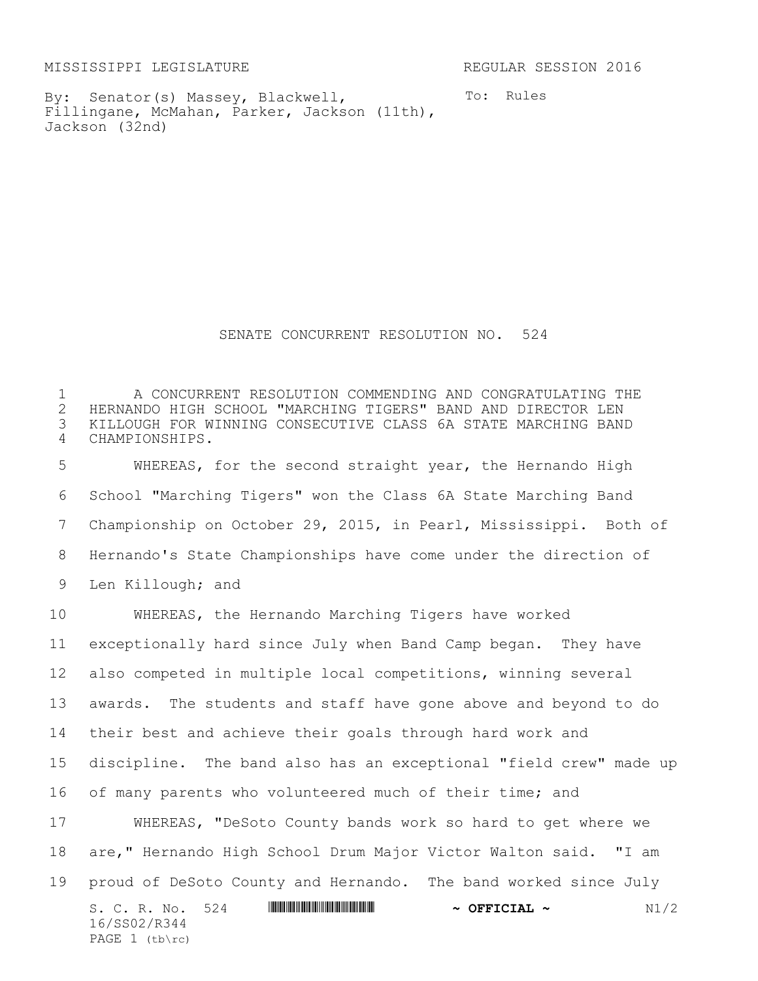MISSISSIPPI LEGISLATURE REGULAR SESSION 2016

By: Senator(s) Massey, Blackwell, Fillingane, McMahan, Parker, Jackson (11th), Jackson (32nd)

To: Rules

SENATE CONCURRENT RESOLUTION NO. 524

 A CONCURRENT RESOLUTION COMMENDING AND CONGRATULATING THE HERNANDO HIGH SCHOOL "MARCHING TIGERS" BAND AND DIRECTOR LEN KILLOUGH FOR WINNING CONSECUTIVE CLASS 6A STATE MARCHING BAND CHAMPIONSHIPS.

 WHEREAS, for the second straight year, the Hernando High School "Marching Tigers" won the Class 6A State Marching Band Championship on October 29, 2015, in Pearl, Mississippi. Both of Hernando's State Championships have come under the direction of Len Killough; and

S. C. R. No. 524 \*SS02/R344\* **~ OFFICIAL ~** N1/2 16/SS02/R344 PAGE (tb\rc) WHEREAS, the Hernando Marching Tigers have worked exceptionally hard since July when Band Camp began. They have also competed in multiple local competitions, winning several awards. The students and staff have gone above and beyond to do their best and achieve their goals through hard work and discipline. The band also has an exceptional "field crew" made up of many parents who volunteered much of their time; and WHEREAS, "DeSoto County bands work so hard to get where we are," Hernando High School Drum Major Victor Walton said. "I am proud of DeSoto County and Hernando. The band worked since July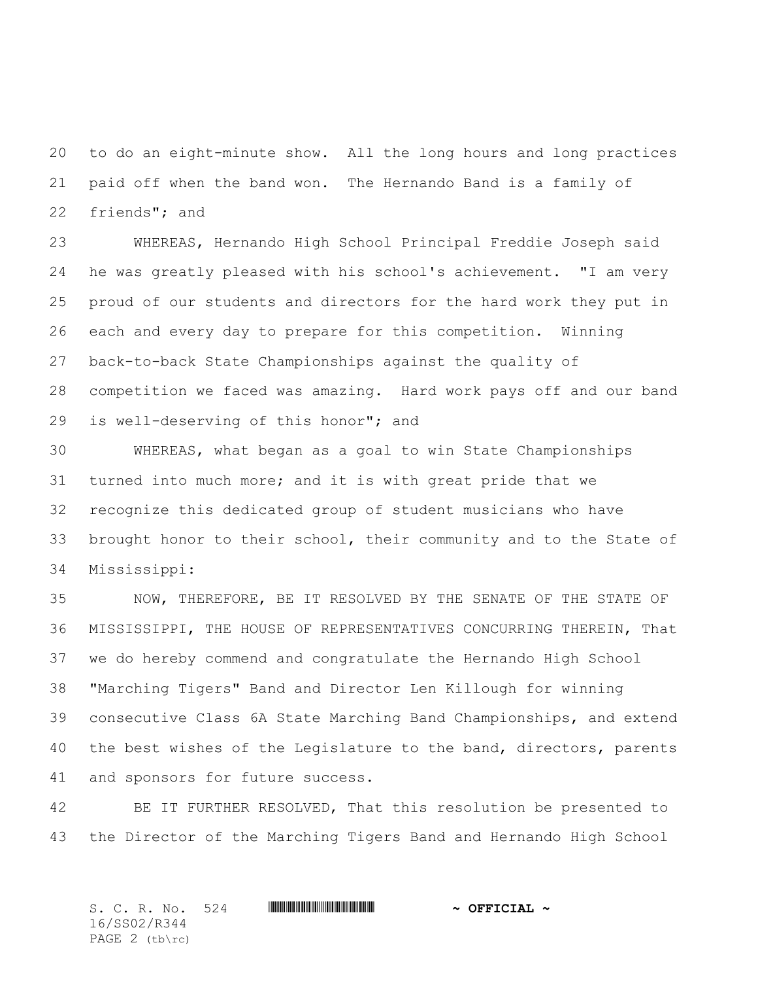to do an eight-minute show. All the long hours and long practices paid off when the band won. The Hernando Band is a family of friends"; and

 WHEREAS, Hernando High School Principal Freddie Joseph said he was greatly pleased with his school's achievement. "I am very proud of our students and directors for the hard work they put in each and every day to prepare for this competition. Winning back-to-back State Championships against the quality of competition we faced was amazing. Hard work pays off and our band is well-deserving of this honor"; and

 WHEREAS, what began as a goal to win State Championships turned into much more; and it is with great pride that we recognize this dedicated group of student musicians who have brought honor to their school, their community and to the State of Mississippi:

 NOW, THEREFORE, BE IT RESOLVED BY THE SENATE OF THE STATE OF MISSISSIPPI, THE HOUSE OF REPRESENTATIVES CONCURRING THEREIN, That we do hereby commend and congratulate the Hernando High School "Marching Tigers" Band and Director Len Killough for winning consecutive Class 6A State Marching Band Championships, and extend 40 the best wishes of the Legislature to the band, directors, parents and sponsors for future success.

 BE IT FURTHER RESOLVED, That this resolution be presented to the Director of the Marching Tigers Band and Hernando High School